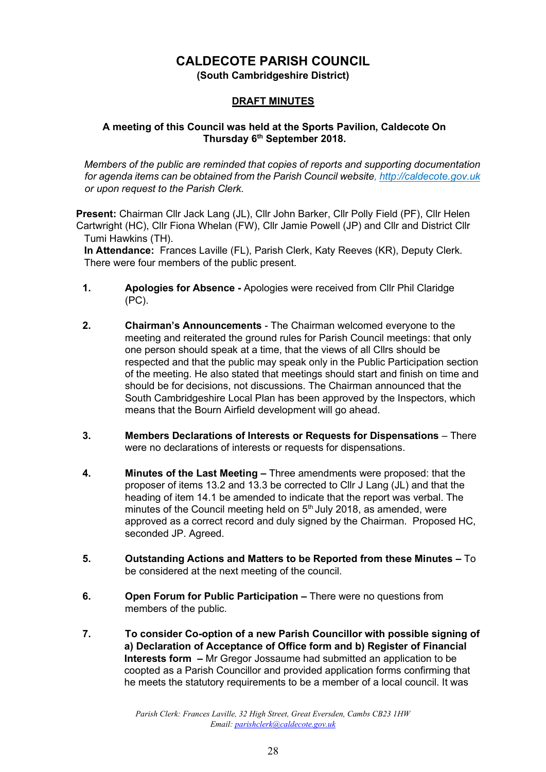## **CALDECOTE PARISH COUNCIL**

**(South Cambridgeshire District)** 

## **DRAFT MINUTES**

### **A meeting of this Council was held at the Sports Pavilion, Caldecote On Thursday 6th September 2018.**

*Members of the public are reminded that copies of reports and supporting documentation for agenda items can be obtained from the Parish Council website[, http://caldecote.gov.uk](http://caldecote.gov.uk/) or upon request to the Parish Clerk.* 

**Present:** Chairman Cllr Jack Lang (JL), Cllr John Barker, Cllr Polly Field (PF), Cllr Helen Cartwright (HC), Cllr Fiona Whelan (FW), Cllr Jamie Powell (JP) and Cllr and District Cllr Tumi Hawkins (TH).

**In Attendance:** Frances Laville (FL), Parish Clerk, Katy Reeves (KR), Deputy Clerk. There were four members of the public present.

- **1. Apologies for Absence -** Apologies were received from Cllr Phil Claridge (PC).
- **2. Chairman's Announcements** The Chairman welcomed everyone to the meeting and reiterated the ground rules for Parish Council meetings: that only one person should speak at a time, that the views of all Cllrs should be respected and that the public may speak only in the Public Participation section of the meeting. He also stated that meetings should start and finish on time and should be for decisions, not discussions. The Chairman announced that the South Cambridgeshire Local Plan has been approved by the Inspectors, which means that the Bourn Airfield development will go ahead.
- **3. Members Declarations of Interests or Requests for Dispensations** There were no declarations of interests or requests for dispensations.
- **4. Minutes of the Last Meeting –** Three amendments were proposed: that the proposer of items 13.2 and 13.3 be corrected to Cllr J Lang (JL) and that the heading of item 14.1 be amended to indicate that the report was verbal. The minutes of the Council meeting held on  $5<sup>th</sup>$  July 2018, as amended, were approved as a correct record and duly signed by the Chairman. Proposed HC, seconded JP. Agreed.
- **5. Outstanding Actions and Matters to be Reported from these Minutes –** To be considered at the next meeting of the council.
- **6. Open Forum for Public Participation –** There were no questions from members of the public.
- **7. To consider Co-option of a new Parish Councillor with possible signing of a) Declaration of Acceptance of Office form and b) Register of Financial Interests form –** Mr Gregor Jossaume had submitted an application to be coopted as a Parish Councillor and provided application forms confirming that he meets the statutory requirements to be a member of a local council. It was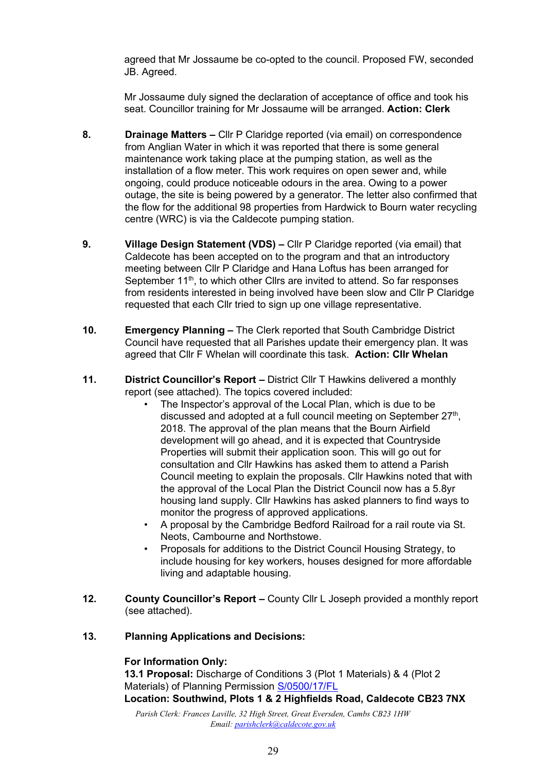agreed that Mr Jossaume be co-opted to the council. Proposed FW, seconded JB. Agreed.

Mr Jossaume duly signed the declaration of acceptance of office and took his seat. Councillor training for Mr Jossaume will be arranged. **Action: Clerk** 

- **8. Drainage Matters –** Cllr P Claridge reported (via email) on correspondence from Anglian Water in which it was reported that there is some general maintenance work taking place at the pumping station, as well as the installation of a flow meter. This work requires on open sewer and, while ongoing, could produce noticeable odours in the area. Owing to a power outage, the site is being powered by a generator. The letter also confirmed that the flow for the additional 98 properties from Hardwick to Bourn water recycling centre (WRC) is via the Caldecote pumping station.
- **9. Village Design Statement (VDS) –** Cllr P Claridge reported (via email) that Caldecote has been accepted on to the program and that an introductory meeting between Cllr P Claridge and Hana Loftus has been arranged for September 11<sup>th</sup>, to which other Cllrs are invited to attend. So far responses from residents interested in being involved have been slow and Cllr P Claridge requested that each Cllr tried to sign up one village representative.
- **10. Emergency Planning –** The Clerk reported that South Cambridge District Council have requested that all Parishes update their emergency plan. It was agreed that Cllr F Whelan will coordinate this task. **Action: Cllr Whelan**
- **11. District Councillor's Report –** District Cllr T Hawkins delivered a monthly report (see attached). The topics covered included:
	- The Inspector's approval of the Local Plan, which is due to be discussed and adopted at a full council meeting on September 27<sup>th</sup>, 2018. The approval of the plan means that the Bourn Airfield development will go ahead, and it is expected that Countryside Properties will submit their application soon. This will go out for consultation and Cllr Hawkins has asked them to attend a Parish Council meeting to explain the proposals. Cllr Hawkins noted that with the approval of the Local Plan the District Council now has a 5.8yr housing land supply. Cllr Hawkins has asked planners to find ways to monitor the progress of approved applications.
	- A proposal by the Cambridge Bedford Railroad for a rail route via St. Neots, Cambourne and Northstowe.
	- Proposals for additions to the District Council Housing Strategy, to include housing for key workers, houses designed for more affordable living and adaptable housing.
- **12. County Councillor's Report County Cllr L Joseph provided a monthly report** (see attached).

### **13. Planning Applications and Decisions:**

#### **For Information Only:**

**13.1 Proposal:** Discharge of Conditions 3 (Plot 1 Materials) & 4 (Plot 2 Materials) of Planning Permission [S/0500/17/FL](http://plan.scambs.gov.uk/swiftlg/apas/run/WPHAPPDETAIL.DisplayUrl?theApnID=S/0500/17/FL&backURL=%253Ca%2520href%253Dwphappcriteria.display%253FpaSearchKey%253D1711611%253ESearch%2520Criteria%253C%252Fa%253E%20%3E%20%3Ca%20href%3D%27wphappsearchres.displayResultsURL%3FResultID%3D2276116%2526StartIndex%3D1%2526SortOrder%3Drgndat%3Adesc%2526DispResultsAs%3DWPHAPPSEARCHRES%2526BackURL%3D%253Ca%2520href%253Dwphappcriteria.display%253FpaSearchKey%253D1711611%253ESearch%2520Criteria%253C%252Fa%253E%27%3ESearch%20Results%3C%2Fa%3E) **Location: Southwind, Plots 1 & 2 Highfields Road, Caldecote CB23 7NX**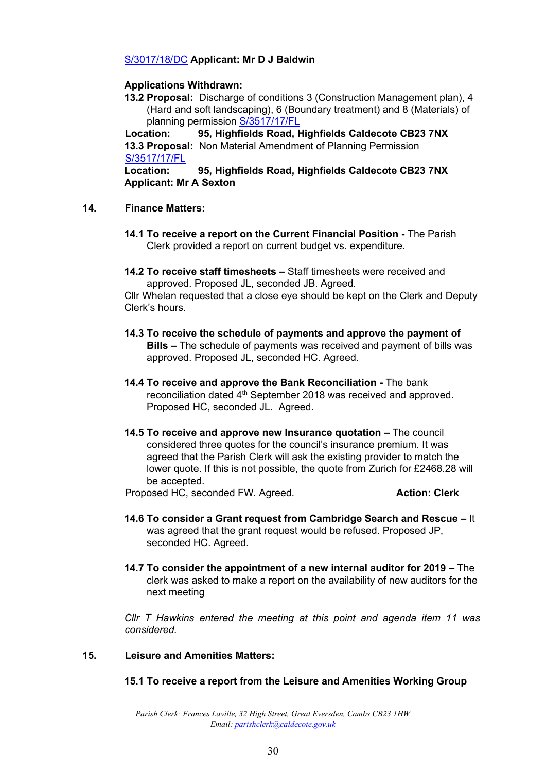### [S/3017/18/DC](http://plan.scambs.gov.uk/swiftlg/apas/run/WPHAPPDETAIL.DisplayUrl?theApnID=S/3017/18/DC&backURL=%253Ca%2520href%253Dwphappcriteria.display%253FpaSearchKey%253D1711614%253ESearch%2520Criteria%253C%252Fa%253E%20%3E%20%3Ca%20href%3D%27wphappsearchres.displayResultsURL%3FResultID%3D2276119%2526StartIndex%3D1%2526SortOrder%3Drgndat%3Adesc%2526DispResultsAs%3DWPHAPPSEARCHRES%2526BackURL%3D%253Ca%2520href%253Dwphappcriteria.display%253FpaSearchKey%253D1711614%253ESearch%2520Criteria%253C%252Fa%253E%27%3ESearch%20Results%3C%2Fa%3E) **Applicant: Mr D J Baldwin**

### **Applications Withdrawn:**

**13.2 Proposal:** Discharge of conditions 3 (Construction Management plan), 4 (Hard and soft landscaping), 6 (Boundary treatment) and 8 (Materials) of planning permission [S/3517/17/FL](http://plan.scambs.gov.uk/swiftlg/apas/run/WPHAPPDETAIL.DisplayUrl?theApnID=S/3517/17/FL&backURL=%253Ca%2520href%253Dwphappcriteria.display%253FpaSearchKey%253D1711617%253ESearch%2520Criteria%253C%252Fa%253E%20%3E%20%3Ca%20href%3D%27wphappsearchres.displayResultsURL%3FResultID%3D2276122%2526StartIndex%3D1%2526SortOrder%3Drgndat%3Adesc%2526DispResultsAs%3DWPHAPPSEARCHRES%2526BackURL%3D%253Ca%2520href%253Dwphappcriteria.display%253FpaSearchKey%253D1711617%253ESearch%2520Criteria%253C%252Fa%253E%27%3ESearch%20Results%3C%2Fa%3E)

**Location: 95, Highfields Road, Highfields Caldecote CB23 7NX 13.3 Proposal:** Non Material Amendment of Planning Permission [S/3517/17/FL](http://plan.scambs.gov.uk/swiftlg/apas/run/WPHAPPDETAIL.DisplayUrl?theApnID=S/3517/17/FL&backURL=%253Ca%2520href%253Dwphappcriteria.display%253FpaSearchKey%253D1711617%253ESearch%2520Criteria%253C%252Fa%253E%20%3E%20%3Ca%20href%3D%27wphappsearchres.displayResultsURL%3FResultID%3D2276122%2526StartIndex%3D1%2526SortOrder%3Drgndat%3Adesc%2526DispResultsAs%3DWPHAPPSEARCHRES%2526BackURL%3D%253Ca%2520href%253Dwphappcriteria.display%253FpaSearchKey%253D1711617%253ESearch%2520Criteria%253C%252Fa%253E%27%3ESearch%20Results%3C%2Fa%3E)

**Location: 95, Highfields Road, Highfields Caldecote CB23 7NX Applicant: Mr A Sexton** 

#### **14. Finance Matters:**

- **14.1 To receive a report on the Current Financial Position -** The Parish Clerk provided a report on current budget vs. expenditure.
- **14.2 To receive staff timesheets –** Staff timesheets were received and approved. Proposed JL, seconded JB. Agreed.

Cllr Whelan requested that a close eye should be kept on the Clerk and Deputy Clerk's hours.

- **14.3 To receive the schedule of payments and approve the payment of Bills –** The schedule of payments was received and payment of bills was approved. Proposed JL, seconded HC. Agreed.
- **14.4 To receive and approve the Bank Reconciliation -** The bank reconciliation dated 4<sup>th</sup> September 2018 was received and approved. Proposed HC, seconded JL. Agreed.
- **14.5 To receive and approve new Insurance quotation –** The council considered three quotes for the council's insurance premium. It was agreed that the Parish Clerk will ask the existing provider to match the lower quote. If this is not possible, the quote from Zurich for £2468.28 will be accepted.

Proposed HC, seconded FW. Agreed. **Action: Clerk**

- **14.6 To consider a Grant request from Cambridge Search and Rescue –** It was agreed that the grant request would be refused. Proposed JP, seconded HC. Agreed.
- **14.7 To consider the appointment of a new internal auditor for 2019 –** The clerk was asked to make a report on the availability of new auditors for the next meeting

*Cllr T Hawkins entered the meeting at this point and agenda item 11 was considered.* 

### **15. Leisure and Amenities Matters:**

#### **15.1 To receive a report from the Leisure and Amenities Working Group**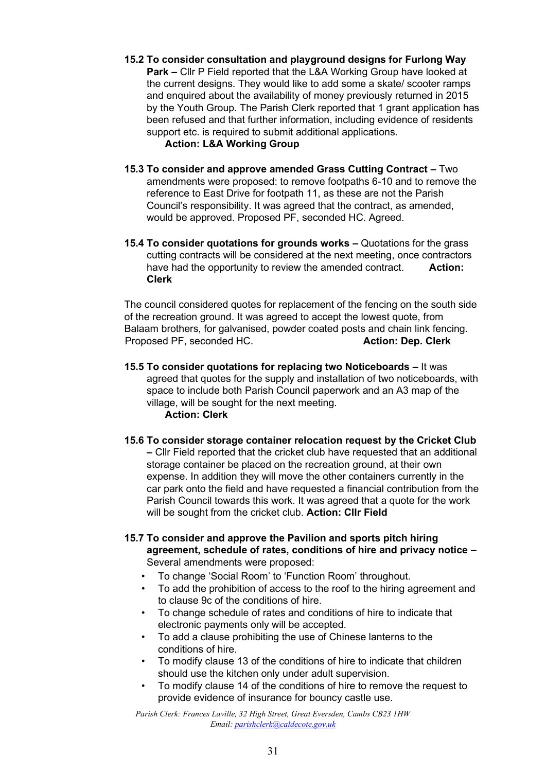**15.2 To consider consultation and playground designs for Furlong Way Park –** Cllr P Field reported that the L&A Working Group have looked at the current designs. They would like to add some a skate/ scooter ramps and enquired about the availability of money previously returned in 2015 by the Youth Group. The Parish Clerk reported that 1 grant application has been refused and that further information, including evidence of residents support etc. is required to submit additional applications.

**Action: L&A Working Group** 

- **15.3 To consider and approve amended Grass Cutting Contract –** Two amendments were proposed: to remove footpaths 6-10 and to remove the reference to East Drive for footpath 11, as these are not the Parish Council's responsibility. It was agreed that the contract, as amended, would be approved. Proposed PF, seconded HC. Agreed.
- **15.4 To consider quotations for grounds works –** Quotations for the grass cutting contracts will be considered at the next meeting, once contractors have had the opportunity to review the amended contract. **Action: Clerk**

The council considered quotes for replacement of the fencing on the south side of the recreation ground. It was agreed to accept the lowest quote, from Balaam brothers, for galvanised, powder coated posts and chain link fencing. Proposed PF, seconded HC. **Action: Dep. Clerk** 

- **15.5 To consider quotations for replacing two Noticeboards –** It was agreed that quotes for the supply and installation of two noticeboards, with space to include both Parish Council paperwork and an A3 map of the village, will be sought for the next meeting. **Action: Clerk**
- **15.6 To consider storage container relocation request by the Cricket Club –** Cllr Field reported that the cricket club have requested that an additional storage container be placed on the recreation ground, at their own expense. In addition they will move the other containers currently in the car park onto the field and have requested a financial contribution from the Parish Council towards this work. It was agreed that a quote for the work will be sought from the cricket club. **Action: Cllr Field**
- **15.7 To consider and approve the Pavilion and sports pitch hiring agreement, schedule of rates, conditions of hire and privacy notice –** Several amendments were proposed:
	- To change 'Social Room' to 'Function Room' throughout.
	- To add the prohibition of access to the roof to the hiring agreement and to clause 9c of the conditions of hire.
	- To change schedule of rates and conditions of hire to indicate that electronic payments only will be accepted.
	- To add a clause prohibiting the use of Chinese lanterns to the conditions of hire.
	- To modify clause 13 of the conditions of hire to indicate that children should use the kitchen only under adult supervision.
	- To modify clause 14 of the conditions of hire to remove the request to provide evidence of insurance for bouncy castle use.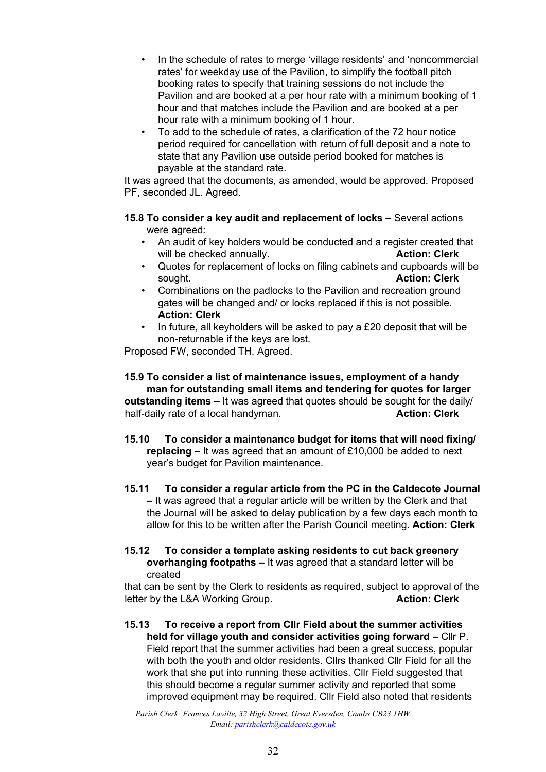- In the schedule of rates to merge 'village residents' and 'noncommercial rates' for weekday use of the Pavilion, to simplify the football pitch booking rates to specify that training sessions do not include the Pavilion and are booked at a per hour rate with a minimum booking of 1 hour and that matches include the Pavilion and are booked at a per hour rate with a minimum booking of 1 hour.
- To add to the schedule of rates, a clarification of the 72 hour notice period required for cancellation with return of full deposit and a note to state that any Pavilion use outside period booked for matches is payable at the standard rate.

It was agreed that the documents, as amended, would be approved. Proposed PF, seconded JL. Agreed.

- **15.8 To consider a key audit and replacement of locks –** Several actions were agreed:
	- An audit of key holders would be conducted and a register created that will be checked annually. **Action: Clerk Action: Clerk**
	- Quotes for replacement of locks on filing cabinets and cupboards will be sought. **Action: Clerk**
	- Combinations on the padlocks to the Pavilion and recreation ground gates will be changed and/ or locks replaced if this is not possible. **Action: Clerk**
	- In future, all keyholders will be asked to pay a £20 deposit that will be non-returnable if the keys are lost.

Proposed FW, seconded TH. Agreed.

#### **15.9 To consider a list of maintenance issues, employment of a handy man for outstanding small items and tendering for quotes for larger**

**outstanding items –** It was agreed that quotes should be sought for the daily/ half-daily rate of a local handyman. **Action: Clerk Action: Clerk** 

- **15.10 To consider a maintenance budget for items that will need fixing/ replacing –** It was agreed that an amount of £10,000 be added to next year's budget for Pavilion maintenance.
- **15.11 To consider a regular article from the PC in the Caldecote Journal –** It was agreed that a regular article will be written by the Clerk and that the Journal will be asked to delay publication by a few days each month to allow for this to be written after the Parish Council meeting. **Action: Clerk**

#### **15.12 To consider a template asking residents to cut back greenery overhanging footpaths –** It was agreed that a standard letter will be created

that can be sent by the Clerk to residents as required, subject to approval of the letter by the L&A Working Group. **Action: Clerk Action: Clerk** 

**15.13 To receive a report from Cllr Field about the summer activities held for village youth and consider activities going forward - Cllr P.** Field report that the summer activities had been a great success, popular with both the youth and older residents. Cllrs thanked Cllr Field for all the work that she put into running these activities. Cllr Field suggested that this should become a regular summer activity and reported that some improved equipment may be required. Cllr Field also noted that residents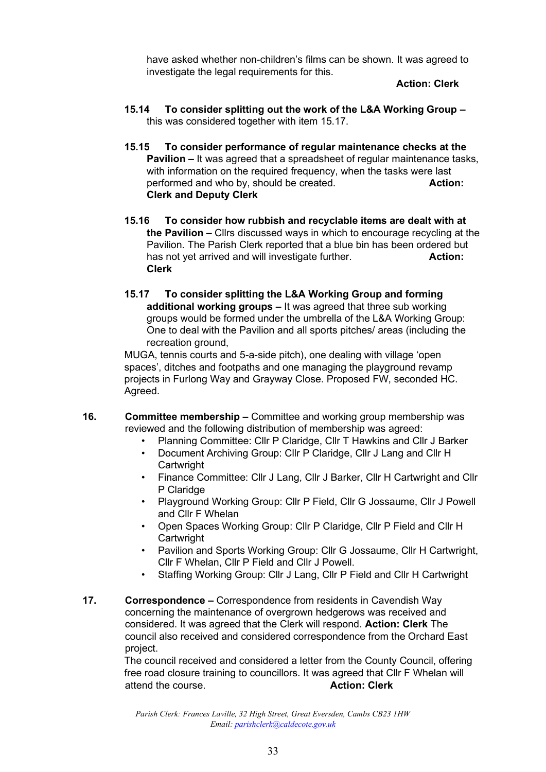have asked whether non-children's films can be shown. It was agreed to investigate the legal requirements for this.

 **Action: Clerk** 

- **15.14 To consider splitting out the work of the L&A Working Group –** this was considered together with item 15.17.
- **15.15 To consider performance of regular maintenance checks at the Pavilion –** It was agreed that a spreadsheet of regular maintenance tasks, with information on the required frequency, when the tasks were last performed and who by, should be created. **Action: Clerk and Deputy Clerk**
- **15.16 To consider how rubbish and recyclable items are dealt with at the Pavilion –** Cllrs discussed ways in which to encourage recycling at the Pavilion. The Parish Clerk reported that a blue bin has been ordered but has not vet arrived and will investigate further. **Action: Action: Action: Action: Clerk**
- **15.17 To consider splitting the L&A Working Group and forming additional working groups –** It was agreed that three sub working groups would be formed under the umbrella of the L&A Working Group: One to deal with the Pavilion and all sports pitches/ areas (including the recreation ground,

MUGA, tennis courts and 5-a-side pitch), one dealing with village 'open spaces', ditches and footpaths and one managing the playground revamp projects in Furlong Way and Grayway Close. Proposed FW, seconded HC. Agreed.

- **16. Committee membership –** Committee and working group membership was reviewed and the following distribution of membership was agreed:
	- Planning Committee: Cllr P Claridge, Cllr T Hawkins and Cllr J Barker
	- Document Archiving Group: Cllr P Claridge, Cllr J Lang and Cllr H **Cartwright**
	- Finance Committee: Cllr J Lang, Cllr J Barker, Cllr H Cartwright and Cllr P Claridge
	- Playground Working Group: Cllr P Field, Cllr G Jossaume, Cllr J Powell and Cllr F Whelan
	- Open Spaces Working Group: Cllr P Claridge, Cllr P Field and Cllr H **Cartwright**
	- Pavilion and Sports Working Group: Cllr G Jossaume, Cllr H Cartwright, Cllr F Whelan, Cllr P Field and Cllr J Powell.
	- Staffing Working Group: Cllr J Lang, Cllr P Field and Cllr H Cartwright
- **17. Correspondence –** Correspondence from residents in Cavendish Way concerning the maintenance of overgrown hedgerows was received and considered. It was agreed that the Clerk will respond. **Action: Clerk** The council also received and considered correspondence from the Orchard East project.

The council received and considered a letter from the County Council, offering free road closure training to councillors. It was agreed that Cllr F Whelan will attend the course. **Action: Clerk**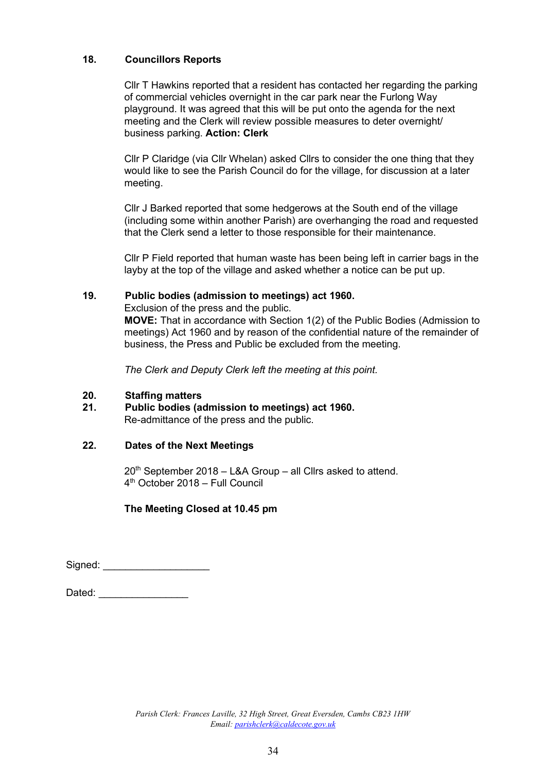## **18. Councillors Reports**

Cllr T Hawkins reported that a resident has contacted her regarding the parking of commercial vehicles overnight in the car park near the Furlong Way playground. It was agreed that this will be put onto the agenda for the next meeting and the Clerk will review possible measures to deter overnight/ business parking. **Action: Clerk**

Cllr P Claridge (via Cllr Whelan) asked Cllrs to consider the one thing that they would like to see the Parish Council do for the village, for discussion at a later meeting.

Cllr J Barked reported that some hedgerows at the South end of the village (including some within another Parish) are overhanging the road and requested that the Clerk send a letter to those responsible for their maintenance.

Cllr P Field reported that human waste has been being left in carrier bags in the layby at the top of the village and asked whether a notice can be put up.

### **19. Public bodies (admission to meetings) act 1960.**

Exclusion of the press and the public.

**MOVE:** That in accordance with Section 1(2) of the Public Bodies (Admission to meetings) Act 1960 and by reason of the confidential nature of the remainder of business, the Press and Public be excluded from the meeting.

*The Clerk and Deputy Clerk left the meeting at this point.* 

### **20. Staffing matters**

**21. Public bodies (admission to meetings) act 1960.**  Re-admittance of the press and the public.

### **22. Dates of the Next Meetings**

20th September 2018 – L&A Group – all Cllrs asked to attend. 4 th October 2018 – Full Council

### **The Meeting Closed at 10.45 pm**

Signed: \_\_\_\_\_\_\_\_\_\_\_\_\_\_\_\_\_\_\_

| Dated: |  |
|--------|--|
|--------|--|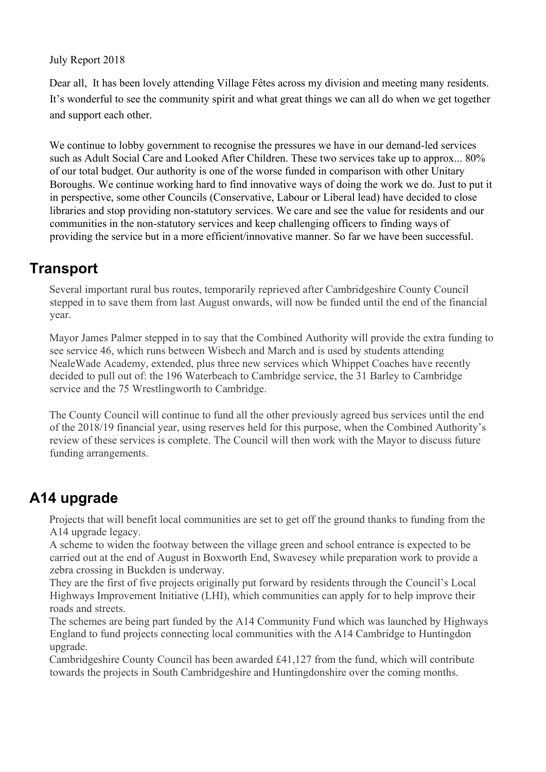## July Report 2018

Dear all, It has been lovely attending Village Fêtes across my division and meeting many residents. It's wonderful to see the community spirit and what great things we can all do when we get together and support each other.

We continue to lobby government to recognise the pressures we have in our demand-led services such as Adult Social Care and Looked After Children. These two services take up to approx... 80% of our total budget. Our authority is one of the worse funded in comparison with other Unitary Boroughs. We continue working hard to find innovative ways of doing the work we do. Just to put it in perspective, some other Councils (Conservative, Labour or Liberal lead) have decided to close libraries and stop providing non-statutory services. We care and see the value for residents and our communities in the non-statutory services and keep challenging officers to finding ways of providing the service but in a more efficient/innovative manner. So far we have been successful.

## **Transport**

Several important rural bus routes, temporarily reprieved after Cambridgeshire County Council stepped in to save them from last August onwards, will now be funded until the end of the financial year.

Mayor James Palmer stepped in to say that the Combined Authority will provide the extra funding to see service 46, which runs between Wisbech and March and is used by students attending NealeWade Academy, extended, plus three new services which Whippet Coaches have recently decided to pull out of: the 196 Waterbeach to Cambridge service, the 31 Barley to Cambridge service and the 75 Wrestlingworth to Cambridge.

The County Council will continue to fund all the other previously agreed bus services until the end of the 2018/19 financial year, using reserves held for this purpose, when the Combined Authority's review of these services is complete. The Council will then work with the Mayor to discuss future funding arrangements.

# **A14 upgrade**

Projects that will benefit local communities are set to get off the ground thanks to funding from the A14 upgrade legacy.

A scheme to widen the footway between the village green and school entrance is expected to be carried out at the end of August in Boxworth End, Swavesey while preparation work to provide a zebra crossing in Buckden is underway.

They are the first of five projects originally put forward by residents through the Council's Local Highways Improvement Initiative (LHI), which communities can apply for to help improve their roads and streets.

The schemes are being part funded by the A14 Community Fund which was launched by Highways England to fund projects connecting local communities with the A14 Cambridge to Huntingdon upgrade.

Cambridgeshire County Council has been awarded £41,127 from the fund, which will contribute towards the projects in South Cambridgeshire and Huntingdonshire over the coming months.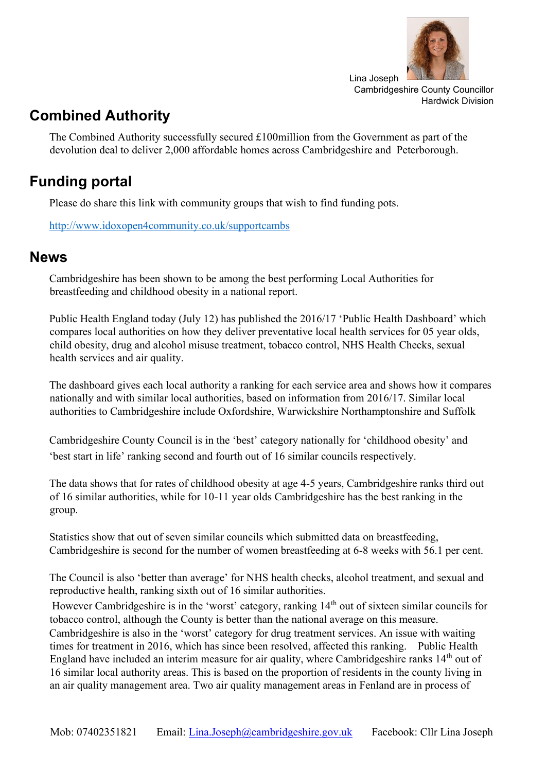

# **Combined Authority**

The Combined Authority successfully secured £100million from the Government as part of the devolution deal to deliver 2,000 affordable homes across Cambridgeshire and Peterborough.

# **Funding portal**

Please do share this link with community groups that wish to find funding pots.

<http://www.idoxopen4community.co.uk/supportcambs>

## **News**

Cambridgeshire has been shown to be among the best performing Local Authorities for breastfeeding and childhood obesity in a national report.

Public Health England today (July 12) has published the 2016/17 'Public Health Dashboard' which compares local authorities on how they deliver preventative local health services for 05 year olds, child obesity, drug and alcohol misuse treatment, tobacco control, NHS Health Checks, sexual health services and air quality.

The dashboard gives each local authority a ranking for each service area and shows how it compares nationally and with similar local authorities, based on information from 2016/17. Similar local authorities to Cambridgeshire include Oxfordshire, Warwickshire Northamptonshire and Suffolk

Cambridgeshire County Council is in the 'best' category nationally for 'childhood obesity' and 'best start in life' ranking second and fourth out of 16 similar councils respectively.

The data shows that for rates of childhood obesity at age 4-5 years, Cambridgeshire ranks third out of 16 similar authorities, while for 10-11 year olds Cambridgeshire has the best ranking in the group.

Statistics show that out of seven similar councils which submitted data on breastfeeding, Cambridgeshire is second for the number of women breastfeeding at 6-8 weeks with 56.1 per cent.

The Council is also 'better than average' for NHS health checks, alcohol treatment, and sexual and reproductive health, ranking sixth out of 16 similar authorities.

However Cambridgeshire is in the 'worst' category, ranking 14<sup>th</sup> out of sixteen similar councils for tobacco control, although the County is better than the national average on this measure.

Cambridgeshire is also in the 'worst' category for drug treatment services. An issue with waiting times for treatment in 2016, which has since been resolved, affected this ranking. Public Health England have included an interim measure for air quality, where Cambridgeshire ranks 14<sup>th</sup> out of 16 similar local authority areas. This is based on the proportion of residents in the county living in an air quality management area. Two air quality management areas in Fenland are in process of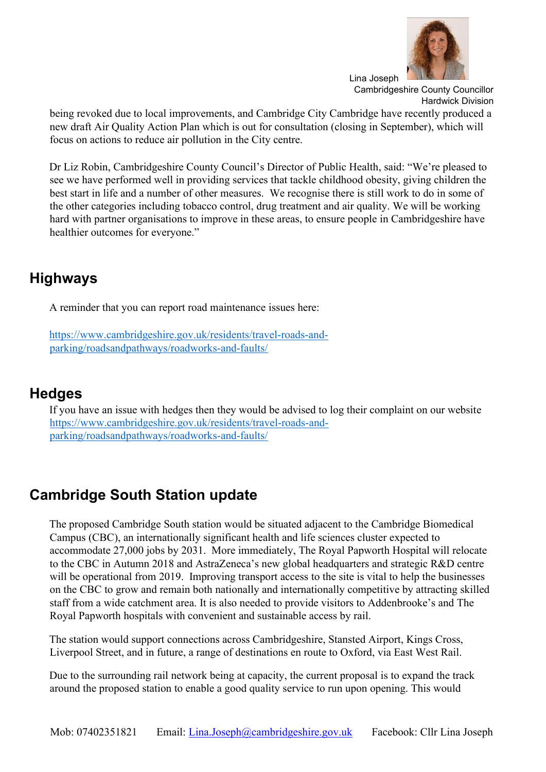

being revoked due to local improvements, and Cambridge City Cambridge have recently produced a new draft Air Quality Action Plan which is out for consultation (closing in September), which will focus on actions to reduce air pollution in the City centre.

Dr Liz Robin, Cambridgeshire County Council's Director of Public Health, said: "We're pleased to see we have performed well in providing services that tackle childhood obesity, giving children the best start in life and a number of other measures. We recognise there is still work to do in some of the other categories including tobacco control, drug treatment and air quality. We will be working hard with partner organisations to improve in these areas, to ensure people in Cambridgeshire have healthier outcomes for everyone."

## **Highways**

A reminder that you can report road maintenance issues here:

[https://www.cambridgeshire.gov.uk/residents/travel-roads-and](https://www.cambridgeshire.gov.uk/residents/travel-roads-and-parking/roads-and-pathways/roadworks-and-faults/)[parking/roadsandpathways/roadworks-and-faults/](https://www.cambridgeshire.gov.uk/residents/travel-roads-and-parking/roads-and-pathways/roadworks-and-faults/) 

## **Hedges**

If you have an issue with hedges then they would be advised to log their complaint on our website [https://www.cambridgeshire.gov.uk/residents/travel-roads-and](https://www.cambridgeshire.gov.uk/residents/travel-roads-and-parking/roads-and-pathways/roadworks-and-faults/)[parking/roadsandpathways/roadworks-and-faults/](https://www.cambridgeshire.gov.uk/residents/travel-roads-and-parking/roads-and-pathways/roadworks-and-faults/)

# **Cambridge South Station update**

The proposed Cambridge South station would be situated adjacent to the Cambridge Biomedical Campus (CBC), an internationally significant health and life sciences cluster expected to accommodate 27,000 jobs by 2031. More immediately, The Royal Papworth Hospital will relocate to the CBC in Autumn 2018 and AstraZeneca's new global headquarters and strategic R&D centre will be operational from 2019. Improving transport access to the site is vital to help the businesses on the CBC to grow and remain both nationally and internationally competitive by attracting skilled staff from a wide catchment area. It is also needed to provide visitors to Addenbrooke's and The Royal Papworth hospitals with convenient and sustainable access by rail.

The station would support connections across Cambridgeshire, Stansted Airport, Kings Cross, Liverpool Street, and in future, a range of destinations en route to Oxford, via East West Rail.

Due to the surrounding rail network being at capacity, the current proposal is to expand the track around the proposed station to enable a good quality service to run upon opening. This would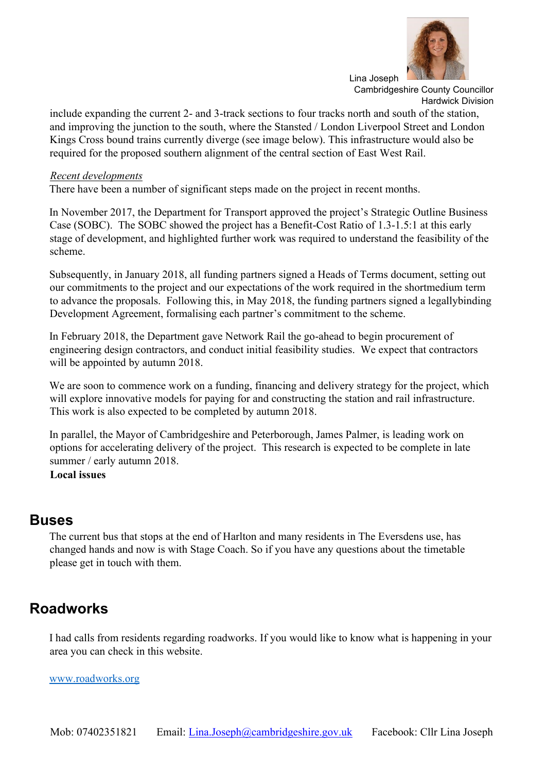

include expanding the current 2- and 3-track sections to four tracks north and south of the station, and improving the junction to the south, where the Stansted / London Liverpool Street and London Kings Cross bound trains currently diverge (see image below). This infrastructure would also be required for the proposed southern alignment of the central section of East West Rail.

### *Recent developments*

There have been a number of significant steps made on the project in recent months.

In November 2017, the Department for Transport approved the project's Strategic Outline Business Case (SOBC). The SOBC showed the project has a Benefit-Cost Ratio of 1.3-1.5:1 at this early stage of development, and highlighted further work was required to understand the feasibility of the scheme.

Subsequently, in January 2018, all funding partners signed a Heads of Terms document, setting out our commitments to the project and our expectations of the work required in the shortmedium term to advance the proposals. Following this, in May 2018, the funding partners signed a legallybinding Development Agreement, formalising each partner's commitment to the scheme.

In February 2018, the Department gave Network Rail the go-ahead to begin procurement of engineering design contractors, and conduct initial feasibility studies. We expect that contractors will be appointed by autumn 2018.

We are soon to commence work on a funding, financing and delivery strategy for the project, which will explore innovative models for paying for and constructing the station and rail infrastructure. This work is also expected to be completed by autumn 2018.

In parallel, the Mayor of Cambridgeshire and Peterborough, James Palmer, is leading work on options for accelerating delivery of the project. This research is expected to be complete in late summer / early autumn 2018.

**Local issues** 

## **Buses**

The current bus that stops at the end of Harlton and many residents in The Eversdens use, has changed hands and now is with Stage Coach. So if you have any questions about the timetable please get in touch with them.

## **Roadworks**

I had calls from residents regarding roadworks. If you would like to know what is happening in your area you can check in this website.

### [www.roadworks.org](http://www.roadworks.org/)